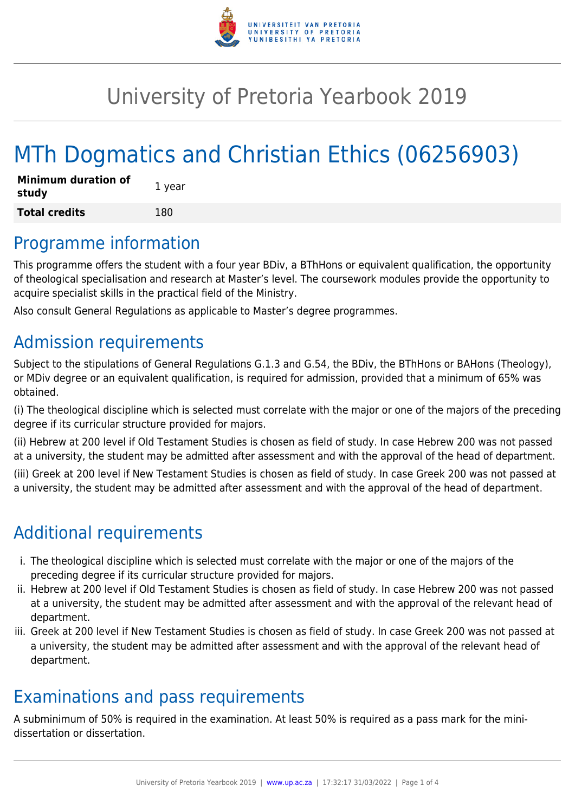

## University of Pretoria Yearbook 2019

# MTh Dogmatics and Christian Ethics (06256903)

| <b>Minimum duration of</b><br>study | 1 year |
|-------------------------------------|--------|
| <b>Total credits</b>                | 180    |

### Programme information

This programme offers the student with a four year BDiv, a BThHons or equivalent qualification, the opportunity of theological specialisation and research at Master's level. The coursework modules provide the opportunity to acquire specialist skills in the practical field of the Ministry.

Also consult General Regulations as applicable to Master's degree programmes.

### Admission requirements

Subject to the stipulations of General Regulations G.1.3 and G.54, the BDiv, the BThHons or BAHons (Theology), or MDiv degree or an equivalent qualification, is required for admission, provided that a minimum of 65% was obtained.

(i) The theological discipline which is selected must correlate with the major or one of the majors of the preceding degree if its curricular structure provided for majors.

(ii) Hebrew at 200 level if Old Testament Studies is chosen as field of study. In case Hebrew 200 was not passed at a university, the student may be admitted after assessment and with the approval of the head of department.

(iii) Greek at 200 level if New Testament Studies is chosen as field of study. In case Greek 200 was not passed at a university, the student may be admitted after assessment and with the approval of the head of department.

## Additional requirements

- i. The theological discipline which is selected must correlate with the major or one of the majors of the preceding degree if its curricular structure provided for majors.
- ii. Hebrew at 200 level if Old Testament Studies is chosen as field of study. In case Hebrew 200 was not passed at a university, the student may be admitted after assessment and with the approval of the relevant head of department.
- iii. Greek at 200 level if New Testament Studies is chosen as field of study. In case Greek 200 was not passed at a university, the student may be admitted after assessment and with the approval of the relevant head of department.

### Examinations and pass requirements

A subminimum of 50% is required in the examination. At least 50% is required as a pass mark for the minidissertation or dissertation.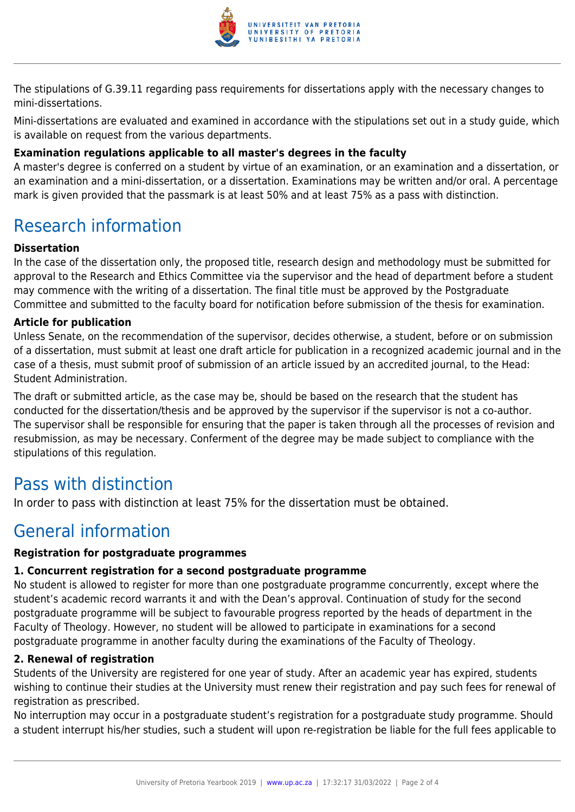

The stipulations of G.39.11 regarding pass requirements for dissertations apply with the necessary changes to mini-dissertations.

Mini-dissertations are evaluated and examined in accordance with the stipulations set out in a study guide, which is available on request from the various departments.

#### **Examination regulations applicable to all master's degrees in the faculty**

A master's degree is conferred on a student by virtue of an examination, or an examination and a dissertation, or an examination and a mini-dissertation, or a dissertation. Examinations may be written and/or oral. A percentage mark is given provided that the passmark is at least 50% and at least 75% as a pass with distinction.

### Research information

#### **Dissertation**

In the case of the dissertation only, the proposed title, research design and methodology must be submitted for approval to the Research and Ethics Committee via the supervisor and the head of department before a student may commence with the writing of a dissertation. The final title must be approved by the Postgraduate Committee and submitted to the faculty board for notification before submission of the thesis for examination.

#### **Article for publication**

Unless Senate, on the recommendation of the supervisor, decides otherwise, a student, before or on submission of a dissertation, must submit at least one draft article for publication in a recognized academic journal and in the case of a thesis, must submit proof of submission of an article issued by an accredited journal, to the Head: Student Administration.

The draft or submitted article, as the case may be, should be based on the research that the student has conducted for the dissertation/thesis and be approved by the supervisor if the supervisor is not a co-author. The supervisor shall be responsible for ensuring that the paper is taken through all the processes of revision and resubmission, as may be necessary. Conferment of the degree may be made subject to compliance with the stipulations of this regulation.

### Pass with distinction

In order to pass with distinction at least 75% for the dissertation must be obtained.

### General information

#### **Registration for postgraduate programmes**

#### **1. Concurrent registration for a second postgraduate programme**

No student is allowed to register for more than one postgraduate programme concurrently, except where the student's academic record warrants it and with the Dean's approval. Continuation of study for the second postgraduate programme will be subject to favourable progress reported by the heads of department in the Faculty of Theology. However, no student will be allowed to participate in examinations for a second postgraduate programme in another faculty during the examinations of the Faculty of Theology.

#### **2. Renewal of registration**

Students of the University are registered for one year of study. After an academic year has expired, students wishing to continue their studies at the University must renew their registration and pay such fees for renewal of registration as prescribed.

No interruption may occur in a postgraduate student's registration for a postgraduate study programme. Should a student interrupt his/her studies, such a student will upon re-registration be liable for the full fees applicable to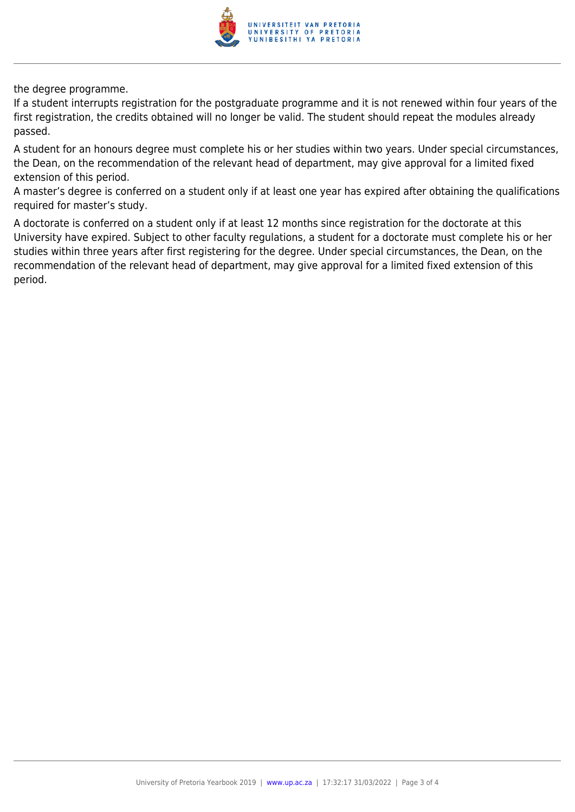

the degree programme.

If a student interrupts registration for the postgraduate programme and it is not renewed within four years of the first registration, the credits obtained will no longer be valid. The student should repeat the modules already passed.

A student for an honours degree must complete his or her studies within two years. Under special circumstances, the Dean, on the recommendation of the relevant head of department, may give approval for a limited fixed extension of this period.

A master's degree is conferred on a student only if at least one year has expired after obtaining the qualifications required for master's study.

A doctorate is conferred on a student only if at least 12 months since registration for the doctorate at this University have expired. Subject to other faculty regulations, a student for a doctorate must complete his or her studies within three years after first registering for the degree. Under special circumstances, the Dean, on the recommendation of the relevant head of department, may give approval for a limited fixed extension of this period.